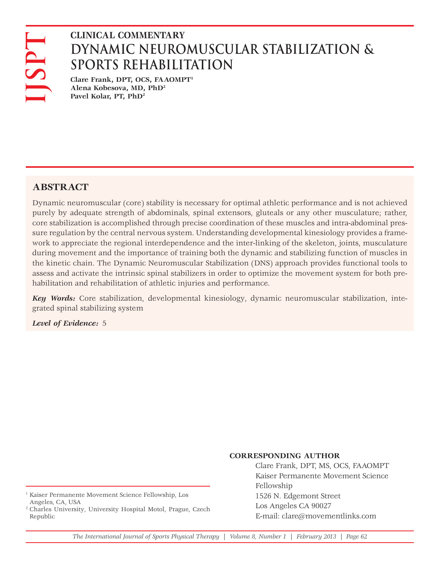# **DYNAMIC NEUROMUSCULAR STABILIZATION & SPORTS REHABILITATION**

**Clare Frank, DPT, OCS, FAAOMPT1 Alena Kobesova, MD, PhD2 Pavel Kolar, PT, PhD2**

## **ABSTRACT**

Dynamic neuromuscular (core) stability is necessary for optimal athletic performance and is not achieved purely by adequate strength of abdominals, spinal extensors, gluteals or any other musculature; rather, core stabilization is accomplished through precise coordination of these muscles and intra-abdominal pressure regulation by the central nervous system. Understanding developmental kinesiology provides a framework to appreciate the regional interdependence and the inter-linking of the skeleton, joints, musculature during movement and the importance of training both the dynamic and stabilizing function of muscles in the kinetic chain. The Dynamic Neuromuscular Stabilization (DNS) approach provides functional tools to assess and activate the intrinsic spinal stabilizers in order to optimize the movement system for both prehabilitation and rehabilitation of athletic injuries and performance. **LEVEL COMMENTARY**<br> **LEVEL OF DYNAMIC NEURO**<br> **SPORTS REHABILI**<br>
dlena Kobesova, MD, PhD<sup>2</sup><br>
dlena Kobesova, MD, PhD<sup>2</sup><br>
Pavel Kolar, PT, PhD<sup>2</sup><br>
Pavel Kolar, PT, PhD<sup>2</sup><br>
<br> **ABSTRACT**<br>
Dynamic neuromuscular (core) stabilit

*Key Words:* Core stabilization, developmental kinesiology, dynamic neuromuscular stabilization, integrated spinal stabilizing system

#### **CORRESPONDING AUTHOR**

Clare Frank, DPT, MS, OCS, FAAOMPT Kaiser Permanente Movement Science Fellowship 1526 N. Edgemont Street Los Angeles CA 90027 E-mail: clare@movementlinks.com

2 Charles University, University Hospital Motol, Prague, Czech Republic

*The International Journal of Sports Physical Therapy | Volume 8, Number 1 | February 2013 | Page 62*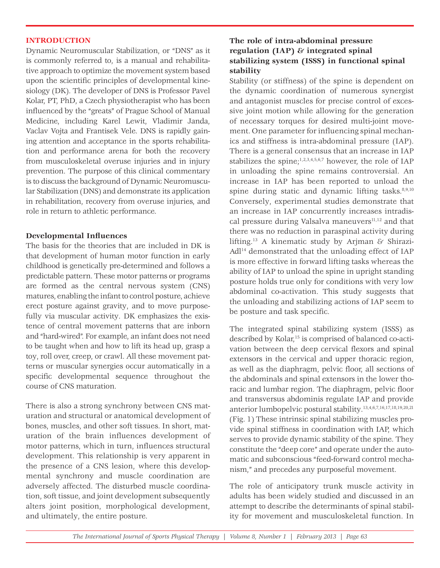### **INTRODUCTION**

Dynamic Neuromuscular Stabilization, or "DNS" as it is commonly referred to, is a manual and rehabilitative approach to optimize the movement system based upon the scientific principles of developmental kinesiology (DK). The developer of DNS is Professor Pavel Kolar, PT, PhD, a Czech physiotherapist who has been influenced by the "greats" of Prague School of Manual Medicine, including Karel Lewit, Vladimir Janda, Vaclav Vojta and Frantisek Vele. DNS is rapidly gaining attention and acceptance in the sports rehabilitation and performance arena for both the recovery from musculoskeletal overuse injuries and in injury prevention. The purpose of this clinical commentary is to discuss the background of Dynamic Neuromuscular Stabilization (DNS) and demonstrate its application in rehabilitation, recovery from overuse injuries, and role in return to athletic performance.

## **Developmental Influences**

The basis for the theories that are included in DK is that development of human motor function in early childhood is genetically pre-determined and follows a predictable pattern. These motor patterns or programs are formed as the central nervous system (CNS) matures, enabling the infant to control posture, achieve erect posture against gravity, and to move purposefully via muscular activity. DK emphasizes the existence of central movement patterns that are inborn and "hard-wired". For example, an infant does not need to be taught when and how to lift its head up, grasp a toy, roll over, creep, or crawl. All these movement patterns or muscular synergies occur automatically in a specific developmental sequence throughout the course of CNS maturation.

There is also a strong synchrony between CNS maturation and structural or anatomical development of bones, muscles, and other soft tissues. In short, maturation of the brain influences development of motor patterns, which in turn, influences structural development. This relationship is very apparent in the presence of a CNS lesion, where this developmental synchrony and muscle coordination are adversely affected. The disturbed muscle coordination, soft tissue, and joint development subsequently alters joint position, morphological development, and ultimately, the entire posture.

## **The role of intra-abdominal pressure regulation (IAP) & integrated spinal stabilizing system (ISSS) in functional spinal stability**

Stability (or stiffness) of the spine is dependent on the dynamic coordination of numerous synergist and antagonist muscles for precise control of excessive joint motion while allowing for the generation of necessary torques for desired multi-joint movement. One parameter for influencing spinal mechanics and stiffness is intra-abdominal pressure (IAP). There is a general consensus that an increase in IAP stabilizes the spine; $1,2,3,4,5,6,7$  however, the role of IAP in unloading the spine remains controversial. An increase in IAP has been reported to unload the spine during static and dynamic lifting tasks. $8,9,10$ Conversely, experimental studies demonstrate that an increase in IAP concurrently increases intradiscal pressure during Valsalva maneuvers $11,12$  and that there was no reduction in paraspinal activity during lifting.13 A kinematic study by Arjman & Shirazi-Adl14 demonstrated that the unloading effect of IAP is more effective in forward lifting tasks whereas the ability of IAP to unload the spine in upright standing posture holds true only for conditions with very low abdominal co-activation. This study suggests that the unloading and stabilizing actions of IAP seem to be posture and task specific.

The integrated spinal stabilizing system (ISSS) as described by Kolar,<sup>15</sup> is comprised of balanced co-activation between the deep cervical flexors and spinal extensors in the cervical and upper thoracic region, as well as the diaphragm, pelvic floor, all sections of the abdominals and spinal extensors in the lower thoracic and lumbar region. The diaphragm, pelvic floor and transversus abdominis regulate IAP and provide anterior lumbopelvic postural stability.13,4,6,7,16,17,18,19,20,21 (Fig. 1) These intrinsic spinal stabilizing muscles provide spinal stiffness in coordination with IAP, which serves to provide dynamic stability of the spine. They constitute the "deep core" and operate under the automatic and subconscious "feed-forward control mechanism," and precedes any purposeful movement.

The role of anticipatory trunk muscle activity in adults has been widely studied and discussed in an attempt to describe the determinants of spinal stability for movement and musculoskeletal function. In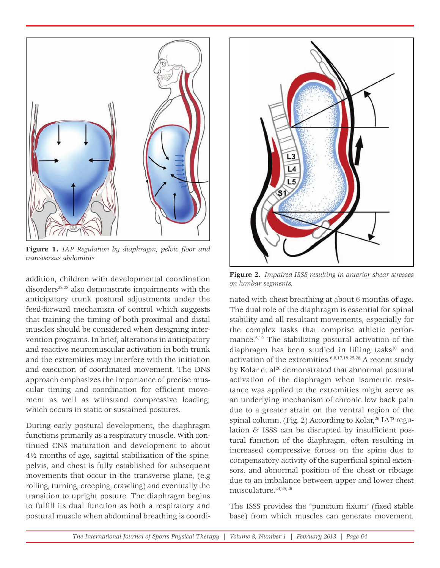

**Figure 1.** *IAP Regulation by diaphragm, pelvic floor and transversus abdominis.*

addition, children with developmental coordination disorders $22,23$  also demonstrate impairments with the anticipatory trunk postural adjustments under the feed-forward mechanism of control which suggests that training the timing of both proximal and distal muscles should be considered when designing intervention programs. In brief, alterations in anticipatory and reactive neuromuscular activation in both trunk and the extremities may interfere with the initiation and execution of coordinated movement. The DNS approach emphasizes the importance of precise muscular timing and coordination for efficient movement as well as withstand compressive loading, which occurs in static or sustained postures.

During early postural development, the diaphragm functions primarily as a respiratory muscle. With continued CNS maturation and development to about 4½ months of age, sagittal stabilization of the spine, pelvis, and chest is fully established for subsequent movements that occur in the transverse plane, (e.g rolling, turning, creeping, crawling) and eventually the transition to upright posture. The diaphragm begins to fulfill its dual function as both a respiratory and postural muscle when abdominal breathing is coordi-



**Figure 2.** *Impaired ISSS resulting in anterior shear stresses on lumbar segments.*

nated with chest breathing at about 6 months of age. The dual role of the diaphragm is essential for spinal stability and all resultant movements, especially for the complex tasks that comprise athletic performance.6,19 The stabilizing postural activation of the diaphragm has been studied in lifting tasks<sup>10</sup> and activation of the extremities. $6,8,17,19,25,26$  A recent study by Kolar et al<sup>26</sup> demonstrated that abnormal postural activation of the diaphragm when isometric resistance was applied to the extremities might serve as an underlying mechanism of chronic low back pain due to a greater strain on the ventral region of the spinal column. (Fig. 2) According to Kolar,<sup>26</sup> IAP regulation  $\&$  ISSS can be disrupted by insufficient postural function of the diaphragm, often resulting in increased compressive forces on the spine due to compensatory activity of the superficial spinal extensors, and abnormal position of the chest or ribcage due to an imbalance between upper and lower chest musculature.24,25,26

The ISSS provides the "punctum fixum" (fixed stable base) from which muscles can generate movement.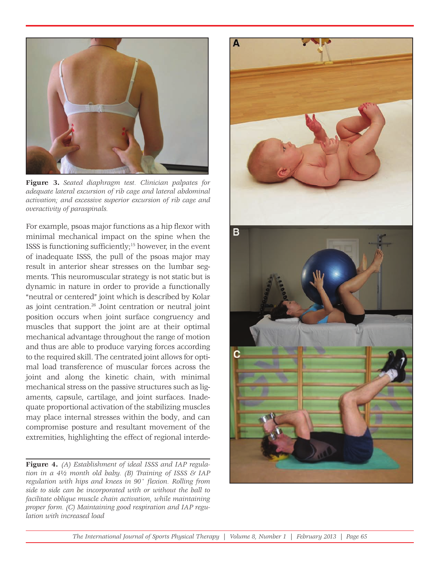

**Figure 3.** *Seated diaphragm test. Clinician palpates for adequate lateral excursion of rib cage and lateral abdominal activation; and excessive superior excursion of rib cage and overactivity of paraspinals.*

For example, psoas major functions as a hip flexor with minimal mechanical impact on the spine when the ISSS is functioning sufficiently;15 however, in the event of inadequate ISSS, the pull of the psoas major may result in anterior shear stresses on the lumbar segments. This neuromuscular strategy is not static but is dynamic in nature in order to provide a functionally "neutral or centered" joint which is described by Kolar as joint centration.26 Joint centration or neutral joint position occurs when joint surface congruency and muscles that support the joint are at their optimal mechanical advantage throughout the range of motion and thus are able to produce varying forces according to the required skill. The centrated joint allows for optimal load transference of muscular forces across the joint and along the kinetic chain, with minimal mechanical stress on the passive structures such as ligaments, capsule, cartilage, and joint surfaces. Inadequate proportional activation of the stabilizing muscles may place internal stresses within the body, and can compromise posture and resultant movement of the extremities, highlighting the effect of regional interde-

**Figure 4.** *(A) Establishment of ideal ISSS and IAP regulation in a 4½ month old baby. (B) Training of ISSS & IAP*  regulation with hips and knees in 90° flexion. Rolling from *side to side can be incorporated with or without the ball to facilitate oblique muscle chain activation, while maintaining proper form. (C) Maintaining good respiration and IAP regulation with increased load*

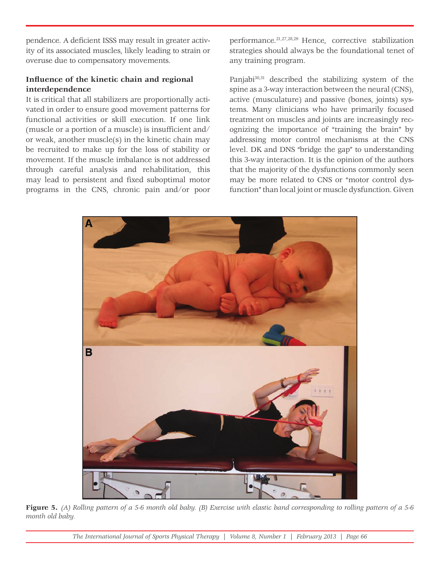pendence. A deficient ISSS may result in greater activity of its associated muscles, likely leading to strain or overuse due to compensatory movements.

## Influence of the kinetic chain and regional **interdependence**

It is critical that all stabilizers are proportionally activated in order to ensure good movement patterns for functional activities or skill execution. If one link (muscle or a portion of a muscle) is insufficient and/ or weak, another muscle(s) in the kinetic chain may be recruited to make up for the loss of stability or movement. If the muscle imbalance is not addressed through careful analysis and rehabilitation, this may lead to persistent and fixed suboptimal motor programs in the CNS, chronic pain and/or poor

performance.21,27,28,29 Hence, corrective stabilization strategies should always be the foundational tenet of any training program.

Panjabi<sup>30,31</sup> described the stabilizing system of the spine as a 3-way interaction between the neural (CNS), active (musculature) and passive (bones, joints) systems. Many clinicians who have primarily focused treatment on muscles and joints are increasingly recognizing the importance of "training the brain" by addressing motor control mechanisms at the CNS level. DK and DNS "bridge the gap" to understanding this 3-way interaction. It is the opinion of the authors that the majority of the dysfunctions commonly seen may be more related to CNS or "motor control dysfunction" than local joint or muscle dysfunction. Given



**Figure 5.** *(A) Rolling pattern of a 5-6 month old baby. (B) Exercise with elastic band corresponding to rolling pattern of a 5-6 month old baby.*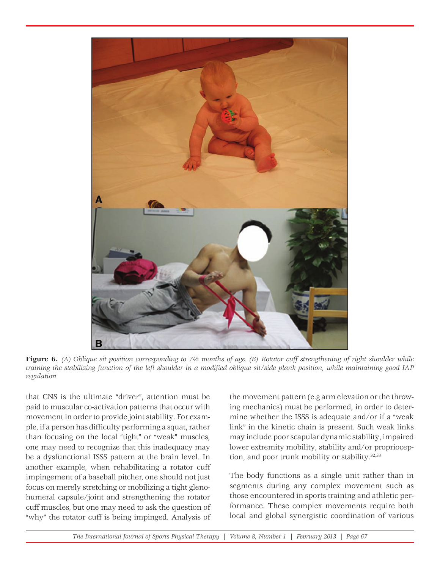

**Figure 6.** *(A) Oblique sit position corresponding to 7½ months of age. (B) Rotator cuff strengthening of right shoulder while*  training the stabilizing function of the left shoulder in a modified oblique sit/side plank position, while maintaining good IAP *regulation.* 

that CNS is the ultimate "driver", attention must be paid to muscular co-activation patterns that occur with movement in order to provide joint stability. For example, if a person has difficulty performing a squat, rather than focusing on the local "tight" or "weak" muscles, one may need to recognize that this inadequacy may be a dysfunctional ISSS pattern at the brain level. In another example, when rehabilitating a rotator cuff impingement of a baseball pitcher, one should not just focus on merely stretching or mobilizing a tight glenohumeral capsule/joint and strengthening the rotator cuff muscles, but one may need to ask the question of "why" the rotator cuff is being impinged. Analysis of

the movement pattern (e.g arm elevation or the throwing mechanics) must be performed, in order to determine whether the ISSS is adequate and/or if a "weak link" in the kinetic chain is present. Such weak links may include poor scapular dynamic stability, impaired lower extremity mobility, stability and/or proprioception, and poor trunk mobility or stability.<sup>32,33</sup>

The body functions as a single unit rather than in segments during any complex movement such as those encountered in sports training and athletic performance. These complex movements require both local and global synergistic coordination of various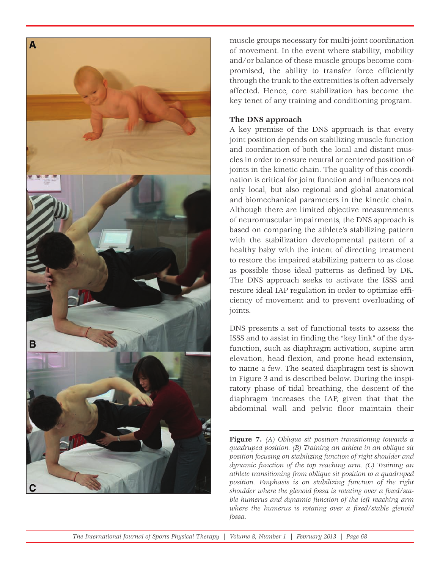

muscle groups necessary for multi-joint coordination of movement. In the event where stability, mobility and/or balance of these muscle groups become compromised, the ability to transfer force efficiently through the trunk to the extremities is often adversely affected. Hence, core stabilization has become the key tenet of any training and conditioning program.

### **The DNS approach**

A key premise of the DNS approach is that every joint position depends on stabilizing muscle function and coordination of both the local and distant muscles in order to ensure neutral or centered position of joints in the kinetic chain. The quality of this coordination is critical for joint function and influences not only local, but also regional and global anatomical and biomechanical parameters in the kinetic chain. Although there are limited objective measurements of neuromuscular impairments, the DNS approach is based on comparing the athlete's stabilizing pattern with the stabilization developmental pattern of a healthy baby with the intent of directing treatment to restore the impaired stabilizing pattern to as close as possible those ideal patterns as defined by DK. The DNS approach seeks to activate the ISSS and restore ideal IAP regulation in order to optimize efficiency of movement and to prevent overloading of joints.

DNS presents a set of functional tests to assess the ISSS and to assist in finding the "key link" of the dysfunction, such as diaphragm activation, supine arm elevation, head flexion, and prone head extension, to name a few. The seated diaphragm test is shown in Figure 3 and is described below. During the inspiratory phase of tidal breathing, the descent of the diaphragm increases the IAP, given that that the abdominal wall and pelvic floor maintain their

**Figure 7.** *(A) Oblique sit position transitioning towards a quadruped position. (B) Training an athlete in an oblique sit position focusing on stabilizing function of right shoulder and dynamic function of the top reaching arm. (C) Training an athlete transitioning from oblique sit position to a quadruped position. Emphasis is on stabilizing function of the right*  shoulder where the glenoid fossa is rotating over a fixed/sta*ble humerus and dynamic function of the left reaching arm where the humerus is rotating over a fixed/stable glenoid fossa.*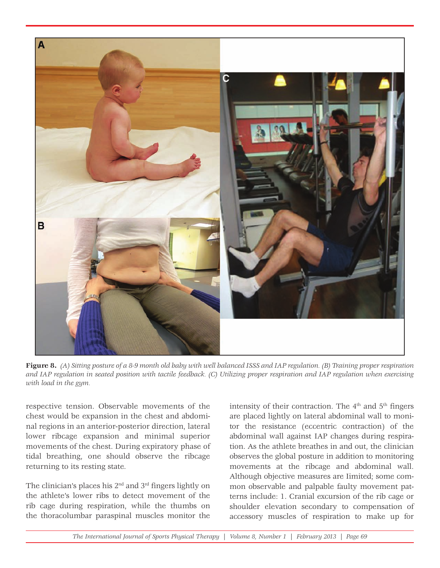

**Figure 8.** *(A) Sitting posture of a 8-9 month old baby with well balanced ISSS and IAP regulation. (B) Training proper respiration and IAP regulation in seated position with tactile feedback. (C) Utilizing proper respiration and IAP regulation when exercising with load in the gym.*

respective tension. Observable movements of the chest would be expansion in the chest and abdominal regions in an anterior-posterior direction, lateral lower ribcage expansion and minimal superior movements of the chest. During expiratory phase of tidal breathing, one should observe the ribcage returning to its resting state.

The clinician's places his 2nd and 3rd fingers lightly on the athlete's lower ribs to detect movement of the rib cage during respiration, while the thumbs on the thoracolumbar paraspinal muscles monitor the

intensity of their contraction. The  $4<sup>th</sup>$  and  $5<sup>th</sup>$  fingers are placed lightly on lateral abdominal wall to monitor the resistance (eccentric contraction) of the abdominal wall against IAP changes during respiration. As the athlete breathes in and out, the clinician observes the global posture in addition to monitoring movements at the ribcage and abdominal wall. Although objective measures are Iimited; some common observable and palpable faulty movement patterns include: 1. Cranial excursion of the rib cage or shoulder elevation secondary to compensation of accessory muscles of respiration to make up for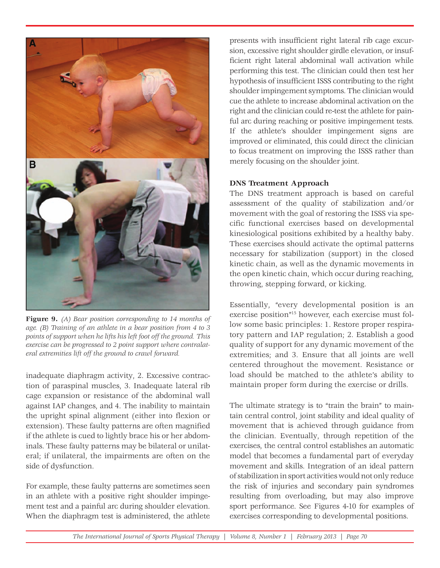

**Figure 9.** *(A) Bear position corresponding to 14 months of age. (B) Training of an athlete in a bear position from 4 to 3 points of support when he lifts his left foot off the ground. This exercise can be progressed to 2 point support where contralateral extremities lift off the ground to crawl forward.*

inadequate diaphragm activity, 2. Excessive contraction of paraspinal muscles, 3. Inadequate lateral rib cage expansion or resistance of the abdominal wall against IAP changes, and 4. The inability to maintain the upright spinal alignment (either into flexion or extension). These faulty patterns are often magnified if the athlete is cued to lightly brace his or her abdominals. These faulty patterns may be bilateral or unilateral; if unilateral, the impairments are often on the side of dysfunction.

For example, these faulty patterns are sometimes seen in an athlete with a positive right shoulder impingement test and a painful arc during shoulder elevation. When the diaphragm test is administered, the athlete

presents with insufficient right lateral rib cage excursion, excessive right shoulder girdle elevation, or insufficient right lateral abdominal wall activation while performing this test. The clinician could then test her hypothesis of insufficient ISSS contributing to the right shoulder impingement symptoms. The clinician would cue the athlete to increase abdominal activation on the right and the clinician could re-test the athlete for painful arc during reaching or positive impingement tests. If the athlete's shoulder impingement signs are improved or eliminated, this could direct the clinician to focus treatment on improving the ISSS rather than merely focusing on the shoulder joint.

## **DNS Treatment Approach**

The DNS treatment approach is based on careful assessment of the quality of stabilization and/or movement with the goal of restoring the ISSS via specific functional exercises based on developmental kinesiological positions exhibited by a healthy baby. These exercises should activate the optimal patterns necessary for stabilization (support) in the closed kinetic chain, as well as the dynamic movements in the open kinetic chain, which occur during reaching, throwing, stepping forward, or kicking.

Essentially, "every developmental position is an exercise position"15 however, each exercise must follow some basic principles: 1. Restore proper respiratory pattern and IAP regulation; 2. Establish a good quality of support for any dynamic movement of the extremities; and 3. Ensure that all joints are well centered throughout the movement. Resistance or load should be matched to the athlete's ability to maintain proper form during the exercise or drills.

The ultimate strategy is to "train the brain" to maintain central control, joint stability and ideal quality of movement that is achieved through guidance from the clinician. Eventually, through repetition of the exercises, the central control establishes an automatic model that becomes a fundamental part of everyday movement and skills. Integration of an ideal pattern of stabilization in sport activities would not only reduce the risk of injuries and secondary pain syndromes resulting from overloading, but may also improve sport performance. See Figures 4-10 for examples of exercises corresponding to developmental positions.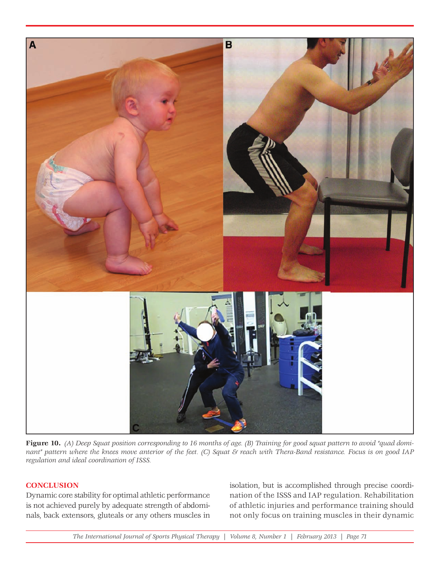

**Figure 10.** *(A) Deep Squat position corresponding to 16 months of age. (B) Training for good squat pattern to avoid "quad dominant" pattern where the knees move anterior of the feet. (C) Squat & reach with Thera-Band resistance. Focus is on good IAP regulation and ideal coordination of ISSS.*

## **CONCLUSION**

Dynamic core stability for optimal athletic performance is not achieved purely by adequate strength of abdominals, back extensors, gluteals or any others muscles in

isolation, but is accomplished through precise coordination of the ISSS and IAP regulation. Rehabilitation of athletic injuries and performance training should not only focus on training muscles in their dynamic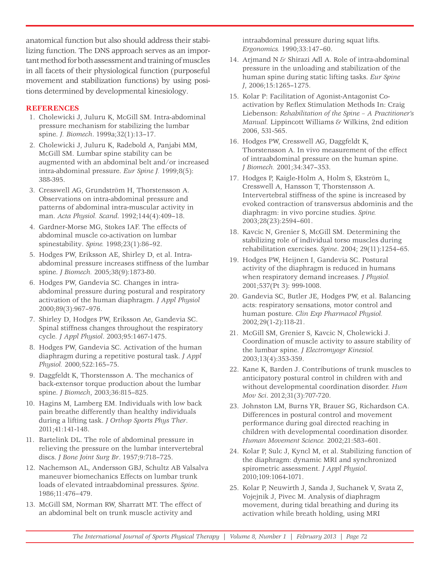anatomical function but also should address their stabilizing function. The DNS approach serves as an important method for both assessment and training of muscles in all facets of their physiological function (purposeful movement and stabilization functions) by using positions determined by developmental kinesiology.

## **REFERENCES**

- 1. Cholewicki J, Juluru K, McGill SM. Intra-abdominal pressure mechanism for stabilizing the lumbar spine. *J. Biomech*. 1999a;32(1):13–17.
- 2. Cholewicki J, Juluru K, Radebold A, Panjabi MM, McGill SM. Lumbar spine stability can be augmented with an abdominal belt and/or increased intra-abdominal pressure. *Eur Spine J.* 1999;8(5): 388-395.
- 3. Cresswell AG, Grundström H, Thorstensson A. Observations on intra-abdominal pressure and patterns of abdominal intra-muscular activity in man. *Acta Physiol. Scand*. 1992;144(4):409–18.
- 4. Gardner-Morse MG, Stokes IAF. The effects of abdominal muscle co-activation on lumbar spinestability. *Spine.* 1998;23(1):86–92.
- 5. Hodges PW, Eriksson AE, Shirley D, et al. Intraabdominal pressure increases stiffness of the lumbar spine. *J Biomech.* 2005;38(9):1873-80.
- 6. Hodges PW, Gandevia SC. Changes in intraabdominal pressure during postural and respiratory activation of the human diaphragm. *J Appl Physiol* 2000;89(3):967–976.
- 7. Shirley D, Hodges PW, Eriksson Ae, Gandevia SC. Spinal stiffness changes throughout the respiratory cycle*. J Appl Physiol*. 2003;95:1467-1475.
- 8. Hodges PW, Gandevia SC. Activation of the human diaphragm during a repetitive postural task. *J Appl Physiol.* 2000*;*522:165–75.
- 9. Daggfeldt K, Thorstensson A. The mechanics of back-extensor torque production about the lumbar spine. *J Biomech*, 2003;36:815–825.
- 10. Hagins M, Lamberg EM. Individuals with low back pain breathe differently than healthy individuals during a lifting task. *J Orthop Sports Phys Ther*. 2011;41:141-148.
- 11. Bartelink DL. The role of abdominal pressure in relieving the pressure on the lumbar intervertebral discs. *J Bone Joint Surg Br*. 1957;9:718–725.
- 12. Nachemson AL, Andersson GBJ, Schultz AB Valsalva maneuver biomechanics Effects on lumbar trunk loads of elevated intraabdominal pressures. *Spine*. 1986;11:476–479.
- 13. McGill SM, Norman RW, Sharratt MT. The effect of an abdominal belt on trunk muscle activity and

intraabdominal pressure during squat lifts. *Ergonomics.* 1990;33:147–60.

- 14. Arjmand N & Shirazi Adl A. Role of intra-abdominal pressure in the unloading and stabilization of the human spine during static lifting tasks. *Eur Spine J*, 2006;15:1265–1275.
- 15. Kolar P: Facilitation of Agonist-Antagonist Coactivation by Reflex Stimulation Methods In: Craig Liebenson: *Rehabilitation of the Spine – A Practitioner's Manual.* Lippincott Williams & Wilkins, 2nd edition 2006, 531-565.
- 16. Hodges PW, Cresswell AG, Daggfeldt K, Thorstensson A. In vivo measurement of the effect of intraabdominal pressure on the human spine. *J Biomech.* 2001;34:347–353.
- 17. Hodges P, Kaigle-Holm A, Holm S, Ekström L, Cresswell A, Hansson T, Thorstensson A. Intervertebral stiffness of the spine is increased by evoked contraction of transversus abdominis and the diaphragm: in vivo porcine studies. *Spine.* 2003;28(23):2594–601.
- 18. Kavcic N, Grenier S, McGill SM. Determining the stabilizing role of individual torso muscles during rehabilitation exercises. *Spine*. 2004; 29(11):1254–65.
- 19. Hodges PW, Heijnen I, Gandevia SC. Postural activity of the diaphragm is reduced in humans when respiratory demand increases. *J Physiol.*  2001;537(Pt 3): 999-1008.
- 20. Gandevia SC, Butler JE, Hodges PW, et al. Balancing acts: respiratory sensations, motor control and human posture. *Clin Exp Pharmacol Physiol.*  2002*;*29(1-2):118-21.
- 21. McGill SM, Grenier S, Kavcic N, Cholewicki J. Coordination of muscle activity to assure stability of the lumbar spine. *J Electromyogr Kinesiol.*  2003;13(4):353-359.
- 22. Kane K, Barden J. Contributions of trunk muscles to anticipatory postural control in children with and without developmental coordination disorder. *Hum Mov Sci*. 2012;31(3):707-720.
- 23. Johnston LM, Burns YR, Brauer SG, Richardson CA. Differences in postural control and movement performance during goal directed reaching in children with developmental coordination disorder. *Human Movement Science.* 2002;21:583–601.
- 24. Kolar P, Sulc J, Kyncl M, et al. Stabilizing function of the diaphragm: dynamic MRI and synchronized spirometric assessment. *J Appl Physiol*. 2010;109:1064-1071.
- 25. Kolar P, Neuwirth J, Sanda J, Suchanek V, Svata Z, Vojejnik J, Pivec M. Analysis of diaphragm movement, during tidal breathing and during its activation while breath holding, using MRI